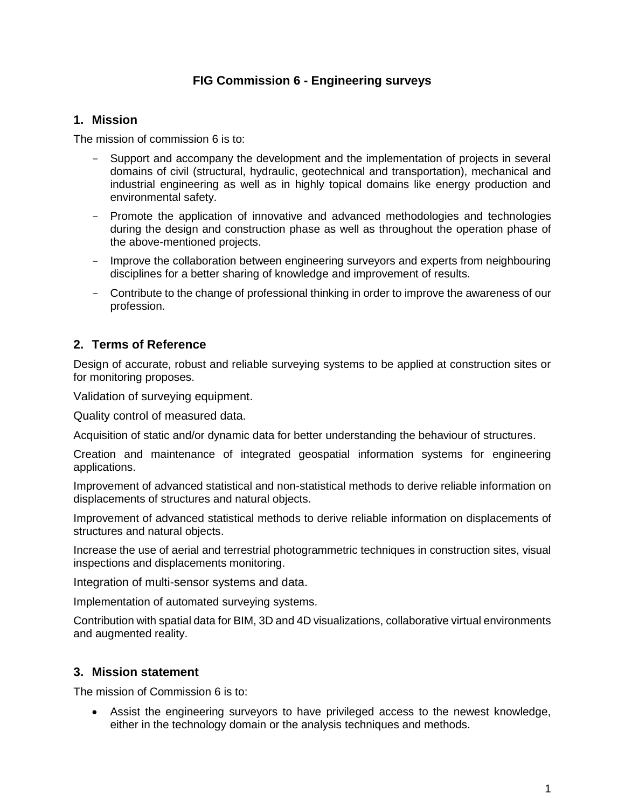## **FIG Commission 6 - Engineering surveys**

### **1. Mission**

The mission of commission 6 is to:

- Support and accompany the development and the implementation of projects in several domains of civil (structural, hydraulic, geotechnical and transportation), mechanical and industrial engineering as well as in highly topical domains like energy production and environmental safety.
- Promote the application of innovative and advanced methodologies and technologies during the design and construction phase as well as throughout the operation phase of the above-mentioned projects.
- Improve the collaboration between engineering surveyors and experts from neighbouring disciplines for a better sharing of knowledge and improvement of results.
- Contribute to the change of professional thinking in order to improve the awareness of our profession.

# **2. Terms of Reference**

Design of accurate, robust and reliable surveying systems to be applied at construction sites or for monitoring proposes.

Validation of surveying equipment.

Quality control of measured data.

Acquisition of static and/or dynamic data for better understanding the behaviour of structures.

Creation and maintenance of integrated geospatial information systems for engineering applications.

Improvement of advanced statistical and non-statistical methods to derive reliable information on displacements of structures and natural objects.

Improvement of advanced statistical methods to derive reliable information on displacements of structures and natural objects.

Increase the use of aerial and terrestrial photogrammetric techniques in construction sites, visual inspections and displacements monitoring.

Integration of multi-sensor systems and data.

Implementation of automated surveying systems.

Contribution with spatial data for BIM, 3D and 4D visualizations, collaborative virtual environments and augmented reality.

## **3. Mission statement**

The mission of Commission 6 is to:

 Assist the engineering surveyors to have privileged access to the newest knowledge, either in the technology domain or the analysis techniques and methods.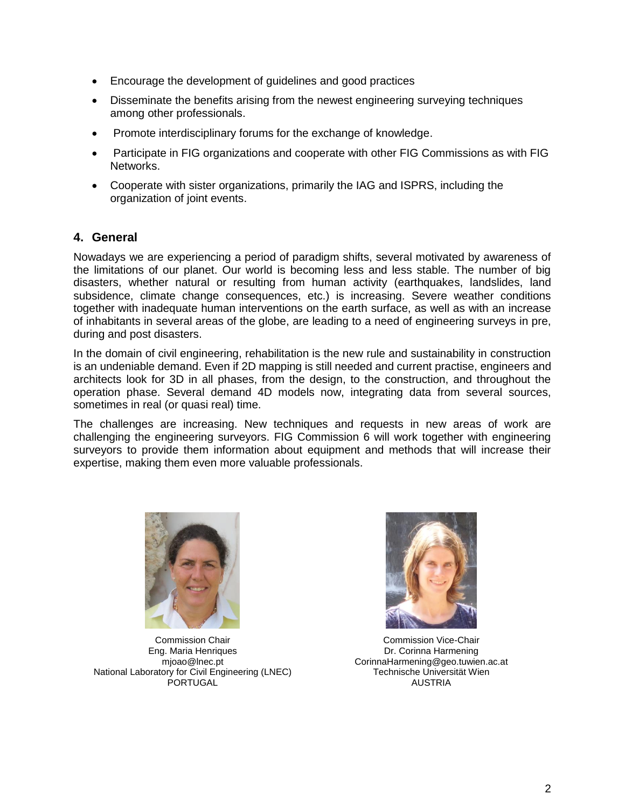- Encourage the development of guidelines and good practices
- Disseminate the benefits arising from the newest engineering surveying techniques among other professionals.
- Promote interdisciplinary forums for the exchange of knowledge.
- Participate in FIG organizations and cooperate with other FIG Commissions as with FIG Networks.
- Cooperate with sister organizations, primarily the IAG and ISPRS, including the organization of joint events.

## **4. General**

Nowadays we are experiencing a period of paradigm shifts, several motivated by awareness of the limitations of our planet. Our world is becoming less and less stable. The number of big disasters, whether natural or resulting from human activity (earthquakes, landslides, land subsidence, climate change consequences, etc.) is increasing. Severe weather conditions together with inadequate human interventions on the earth surface, as well as with an increase of inhabitants in several areas of the globe, are leading to a need of engineering surveys in pre, during and post disasters.

In the domain of civil engineering, rehabilitation is the new rule and sustainability in construction is an undeniable demand. Even if 2D mapping is still needed and current practise, engineers and architects look for 3D in all phases, from the design, to the construction, and throughout the operation phase. Several demand 4D models now, integrating data from several sources, sometimes in real (or quasi real) time.

The challenges are increasing. New techniques and requests in new areas of work are challenging the engineering surveyors. FIG Commission 6 will work together with engineering surveyors to provide them information about equipment and methods that will increase their expertise, making them even more valuable professionals.



Commission Chair Eng. Maria Henriques mjoao@lnec.pt National Laboratory for Civil Engineering (LNEC) PORTUGAL



Commission Vice-Chair Dr. Corinna Harmening CorinnaHarmening@geo.tuwien.ac.at Technische Universität Wien AUSTRIA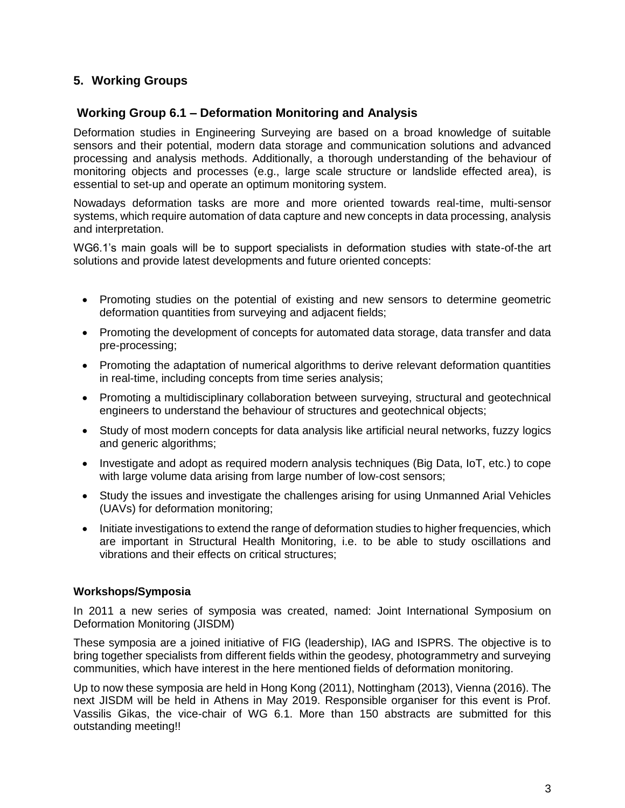## **5. Working Groups**

### **Working Group 6.1 – Deformation Monitoring and Analysis**

Deformation studies in Engineering Surveying are based on a broad knowledge of suitable sensors and their potential, modern data storage and communication solutions and advanced processing and analysis methods. Additionally, a thorough understanding of the behaviour of monitoring objects and processes (e.g., large scale structure or landslide effected area), is essential to set-up and operate an optimum monitoring system.

Nowadays deformation tasks are more and more oriented towards real-time, multi-sensor systems, which require automation of data capture and new concepts in data processing, analysis and interpretation.

WG6.1's main goals will be to support specialists in deformation studies with state-of-the art solutions and provide latest developments and future oriented concepts:

- Promoting studies on the potential of existing and new sensors to determine geometric deformation quantities from surveying and adjacent fields;
- Promoting the development of concepts for automated data storage, data transfer and data pre-processing;
- Promoting the adaptation of numerical algorithms to derive relevant deformation quantities in real-time, including concepts from time series analysis;
- Promoting a multidisciplinary collaboration between surveying, structural and geotechnical engineers to understand the behaviour of structures and geotechnical objects;
- Study of most modern concepts for data analysis like artificial neural networks, fuzzy logics and generic algorithms;
- Investigate and adopt as required modern analysis techniques (Big Data, IoT, etc.) to cope with large volume data arising from large number of low-cost sensors;
- Study the issues and investigate the challenges arising for using Unmanned Arial Vehicles (UAVs) for deformation monitoring;
- $\bullet$  Initiate investigations to extend the range of deformation studies to higher frequencies, which are important in Structural Health Monitoring, i.e. to be able to study oscillations and vibrations and their effects on critical structures;

#### **Workshops/Symposia**

In 2011 a new series of symposia was created, named: Joint International Symposium on Deformation Monitoring (JISDM)

These symposia are a joined initiative of FIG (leadership), IAG and ISPRS. The objective is to bring together specialists from different fields within the geodesy, photogrammetry and surveying communities, which have interest in the here mentioned fields of deformation monitoring.

Up to now these symposia are held in Hong Kong (2011), Nottingham (2013), Vienna (2016). The next JISDM will be held in Athens in May 2019. Responsible organiser for this event is Prof. Vassilis Gikas, the vice-chair of WG 6.1. More than 150 abstracts are submitted for this outstanding meeting!!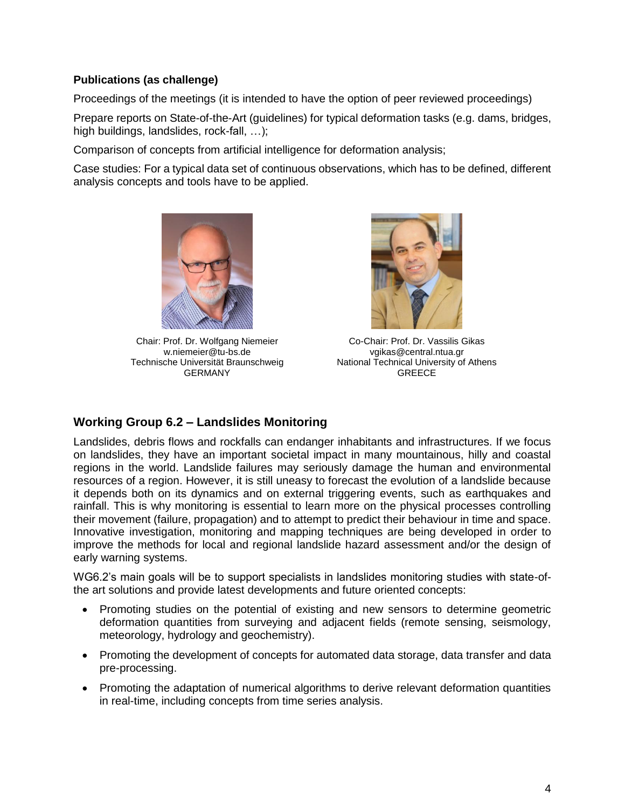### **Publications (as challenge)**

Proceedings of the meetings (it is intended to have the option of peer reviewed proceedings)

Prepare reports on State-of-the-Art (guidelines) for typical deformation tasks (e.g. dams, bridges, high buildings, landslides, rock-fall, ...);

Comparison of concepts from artificial intelligence for deformation analysis;

Case studies: For a typical data set of continuous observations, which has to be defined, different analysis concepts and tools have to be applied.



Chair: Prof. Dr. Wolfgang Niemeier w.niemeier@tu-bs.de Technische Universität Braunschweig GERMANY



Co-Chair: Prof. Dr. Vassilis Gikas vgikas@central.ntua.gr National Technical University of Athens **GREECE** 

## **Working Group 6.2 – Landslides Monitoring**

Landslides, debris flows and rockfalls can endanger inhabitants and infrastructures. If we focus on landslides, they have an important societal impact in many mountainous, hilly and coastal regions in the world. Landslide failures may seriously damage the human and environmental resources of a region. However, it is still uneasy to forecast the evolution of a landslide because it depends both on its dynamics and on external triggering events, such as earthquakes and rainfall. This is why monitoring is essential to learn more on the physical processes controlling their movement (failure, propagation) and to attempt to predict their behaviour in time and space. Innovative investigation, monitoring and mapping techniques are being developed in order to improve the methods for local and regional landslide hazard assessment and/or the design of early warning systems.

WG6.2's main goals will be to support specialists in landslides monitoring studies with state-ofthe art solutions and provide latest developments and future oriented concepts:

- Promoting studies on the potential of existing and new sensors to determine geometric deformation quantities from surveying and adjacent fields (remote sensing, seismology, meteorology, hydrology and geochemistry).
- Promoting the development of concepts for automated data storage, data transfer and data pre-processing.
- Promoting the adaptation of numerical algorithms to derive relevant deformation quantities in real-time, including concepts from time series analysis.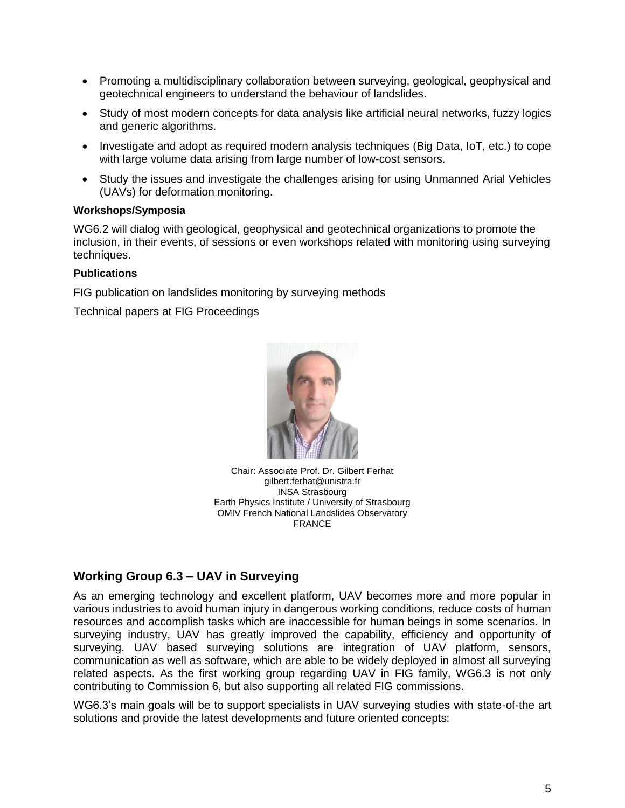- Promoting a multidisciplinary collaboration between surveying, geological, geophysical and geotechnical engineers to understand the behaviour of landslides.
- Study of most modern concepts for data analysis like artificial neural networks, fuzzy logics and generic algorithms.
- Investigate and adopt as required modern analysis techniques (Big Data, IoT, etc.) to cope with large volume data arising from large number of low-cost sensors.
- Study the issues and investigate the challenges arising for using Unmanned Arial Vehicles (UAVs) for deformation monitoring.

#### **Workshops/Symposia**

WG6.2 will dialog with geological, geophysical and geotechnical organizations to promote the inclusion, in their events, of sessions or even workshops related with monitoring using surveying techniques.

#### **Publications**

FIG publication on landslides monitoring by surveying methods

Technical papers at FIG Proceedings



Chair: Associate Prof. Dr. Gilbert Ferhat gilbert.ferhat@unistra.fr INSA Strasbourg Earth Physics Institute / University of Strasbourg OMIV French National Landslides Observatory FRANCE

# **Working Group 6.3 – UAV in Surveying**

As an emerging technology and excellent platform, UAV becomes more and more popular in various industries to avoid human injury in dangerous working conditions, reduce costs of human resources and accomplish tasks which are inaccessible for human beings in some scenarios. In surveying industry, UAV has greatly improved the capability, efficiency and opportunity of surveying. UAV based surveying solutions are integration of UAV platform, sensors, communication as well as software, which are able to be widely deployed in almost all surveying related aspects. As the first working group regarding UAV in FIG family, WG6.3 is not only contributing to Commission 6, but also supporting all related FIG commissions.

WG6.3's main goals will be to support specialists in UAV surveying studies with state-of-the art solutions and provide the latest developments and future oriented concepts: